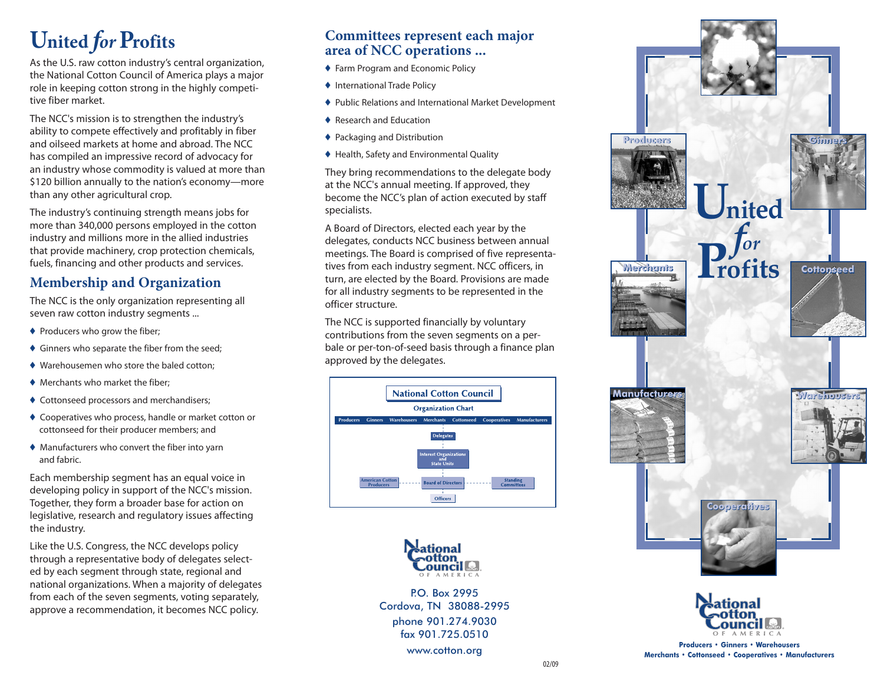# **United for Profits**

As the U.S. raw cotton industry's central organization, the National Cotton Council of America plays a major role in keeping cotton strong in the highly competitive fiber market.

The NCC's mission is to strengthen the industry's ability to compete effectively and profitably in fiber and oilseed markets at home and abroad. The NCC has compiled an impressive record of advocacy for an industry whose commodity is valued at more than \$120 billion annually to the nation's economy-more than any other agricultural crop.

The industry's continuing strength means jobs for more than 340,000 persons employed in the cotton industry and millions more in the allied industries that provide machinery, crop protection chemicals, fuels, financing and other products and services.

### **Membership and Organization**

The NCC is the only organization representing all seven raw cotton industry segments ...

- ♦ Producers who grow the fiber;
- ♦ Ginners who separate the fiber from the seed;
- ♦ Warehousemen who store the baled cotton:
- ♦ Merchants who market the fiber:
- ♦ Cottonseed processors and merchandisers;
- ◆ Cooperatives who process, handle or market cotton or cottonseed for their producer members; and
- Manufacturers who convert the fiber into varn and fabric

Each membership segment has an equal voice in developing policy in support of the NCC's mission. Together, they form a broader base for action on legislative, research and regulatory issues affecting the industry.

Like the U.S. Congress, the NCC develops policy through a representative body of delegates selected by each segment through state, regional and national organizations. When a majority of delegates from each of the seven segments, voting separately, approve a recommendation, it becomes NCC policy.

#### Committees represent each major area of NCC operations ...

- ♦ Farm Program and Economic Policy
- ♦ International Trade Policy
- ♦ Public Relations and International Market Development
- ♦ Research and Education
- ♦ Packaging and Distribution
- ♦ Health, Safety and Environmental Quality

They bring recommendations to the delegate body at the NCC's annual meeting. If approved, they become the NCC's plan of action executed by staff specialists.

A Board of Directors, elected each year by the delegates, conducts NCC business between annual meetings. The Board is comprised of five representatives from each industry segment. NCC officers, in turn, are elected by the Board. Provisions are made for all industry segments to be represented in the officer structure.

The NCC is supported financially by voluntary contributions from the seven segments on a perbale or per-ton-of-seed basis through a finance plan approved by the delegates.





P.O. Box 2995 Cordova, TN 38088-2995 phone 901.274.9030 fax 901 725 0510

www.cotton.org